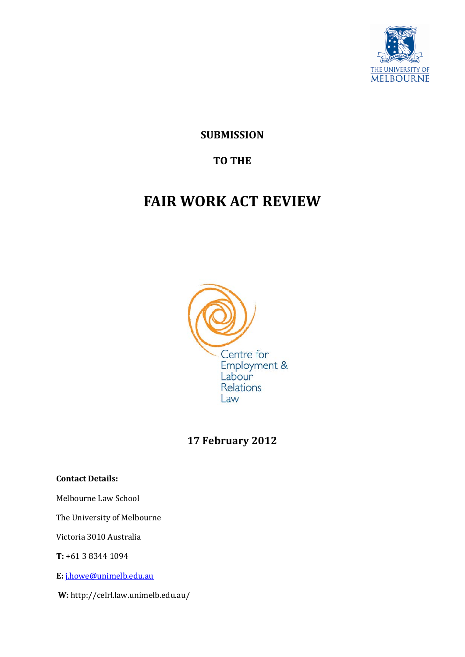

**SUBMISSION**

# **TO THE**

# **FAIR WORK ACT REVIEW**



# **17 February 2012**

#### **Contact Details:**

Melbourne Law School

The University of Melbourne

Victoria 3010 Australia

**T:** +61 3 8344 1094

**E:** [j.howe@unimelb.edu.au](mailto:j.howe@unimelb.edu.au)

**W:** http://celrl.law.unimelb.edu.au/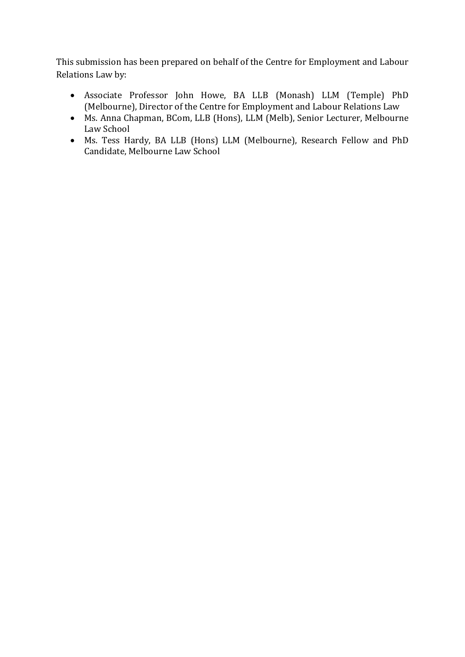This submission has been prepared on behalf of the Centre for Employment and Labour Relations Law by:

- Associate Professor John Howe, BA LLB (Monash) LLM (Temple) PhD (Melbourne), Director of the Centre for Employment and Labour Relations Law
- Ms. Anna Chapman, BCom, LLB (Hons), LLM (Melb), Senior Lecturer, Melbourne Law School
- Ms. Tess Hardy, BA LLB (Hons) LLM (Melbourne), Research Fellow and PhD Candidate, Melbourne Law School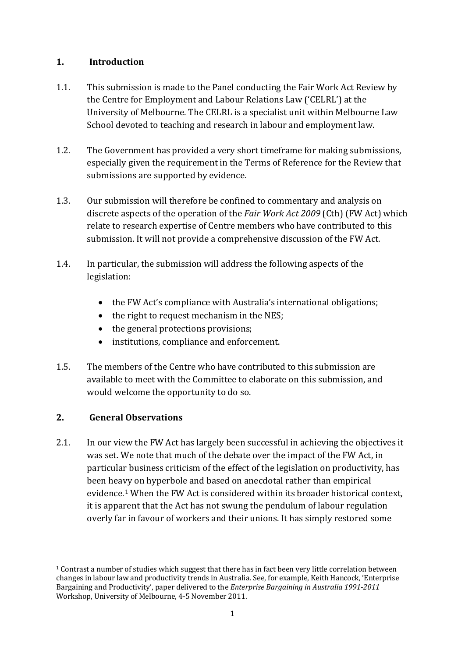## <span id="page-2-0"></span>**1. Introduction**

- 1.1. This submission is made to the Panel conducting the Fair Work Act Review by the Centre for Employment and Labour Relations Law ('CELRL') at the University of Melbourne. The CELRL is a specialist unit within Melbourne Law School devoted to teaching and research in labour and employment law.
- 1.2. The Government has provided a very short timeframe for making submissions, especially given the requirement in the Terms of Reference for the Review that submissions are supported by evidence.
- 1.3. Our submission will therefore be confined to commentary and analysis on discrete aspects of the operation of the *Fair Work Act 2009* (Cth) (FW Act) which relate to research expertise of Centre members who have contributed to this submission. It will not provide a comprehensive discussion of the FW Act.
- 1.4. In particular, the submission will address the following aspects of the legislation:
	- the FW Act's compliance with Australia's international obligations;
	- the right to request mechanism in the NES;
	- the general protections provisions;
	- institutions, compliance and enforcement.
- 1.5. The members of the Centre who have contributed to this submission are available to meet with the Committee to elaborate on this submission, and would welcome the opportunity to do so.

# **2. General Observations**

2.1. In our view the FW Act has largely been successful in achieving the objectives it was set. We note that much of the debate over the impact of the FW Act, in particular business criticism of the effect of the legislation on productivity, has been heavy on hyperbole and based on anecdotal rather than empirical evidence.[1](#page-21-0) When the FW Act is considered within its broader historical context, it is apparent that the Act has not swung the pendulum of labour regulation overly far in favour of workers and their unions. It has simply restored some

<span id="page-2-1"></span>**<sup>.</sup>** <sup>1</sup> Contrast a number of studies which suggest that there has in fact been very little correlation between changes in labour law and productivity trends in Australia. See, for example, Keith Hancock, 'Enterprise Bargaining and Productivity', paper delivered to the *Enterprise Bargaining in Australia 1991-2011* Workshop, University of Melbourne, 4-5 November 2011.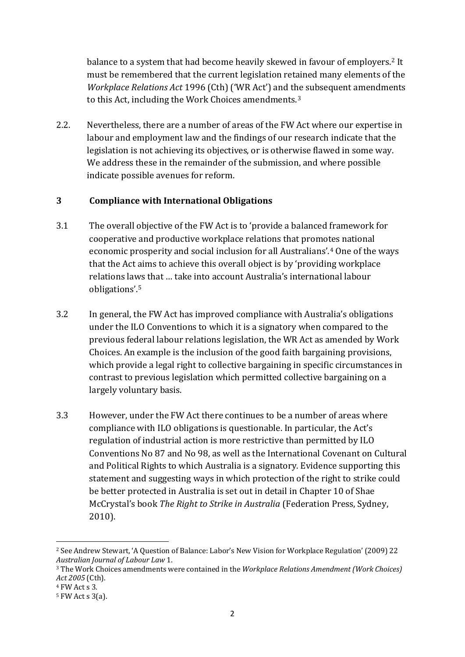balance to a system that had become heavily skewed in favour of employers.<sup>[2](#page-2-0)</sup> It must be remembered that the current legislation retained many elements of the *Workplace Relations Act* 1996 (Cth) ('WR Act') and t[he](#page-2-1) subsequent amendments to this Act, including the Work Choices amendments.3

2.2. Nevertheless, there are a number of areas of the FW Act where our expertise in labour and employment law and the findings of our research indicate that the legislation is not achieving its objectives, or is otherwise flawed in some way. We address these in the remainder of the submission, and where possible indicate possible avenues for reform.

## **3 Compliance with International Obligations**

- 3.1 The overall objective of the FW Act is to 'provide a balanced framework for cooperative and productive workplace relations that promo[te](#page-3-0)s national economic prosperity and social inclusion for all Australians'. <sup>4</sup> One of the ways that the Act aims to achieve this overall object is by 'providing workplace relations la[ws](#page-3-1) that … take into account Australia's international labour obligations'.5
- 3.2 In general, the FW Act has improved compliance with Australia's obligations under the ILO Conventions to which it is a signatory when compared to the previous federal labour relations legislation, the WR Act as amended by Work Choices. An example is the inclusion of the good faith bargaining provisions, which provide a legal right to collective bargaining in specific circumstances in contrast to previous legislation which permitted collective bargaining on a largely voluntary basis.
- 3.3 However, under the FW Act there continues to be a number of areas where compliance with ILO obligations is questionable. In particular, the Act's regulation of industrial action is more restrictive than permitted by ILO Conventions No 87 and No 98, as well as the International Covenant on Cultural and Political Rights to which Australia is a signatory. Evidence supporting this statement and suggesting ways in which protection of the right to strike could be better protected in Australia is set out in detail in Chapter 10 of Shae McCrystal's book *The Right to Strike in Australia* (Federation Press, Sydney, 2010).

<span id="page-3-2"></span><sup>&</sup>lt;sup>2</sup> See Andrew Stewart, 'A Question of Balance: Labor's New Vision for Workplace Regulation' (2009) 22<br>Australian Journal of Labour Law 1.

<sup>&</sup>lt;sup>3</sup> The Work Choices amendments were contained in the *Workplace Relations Amendment (Work Choices) Act 2005* (Cth).

<span id="page-3-0"></span><sup>4</sup> FW Act s 3.

<span id="page-3-1"></span><sup>5</sup> FW Act s 3(a).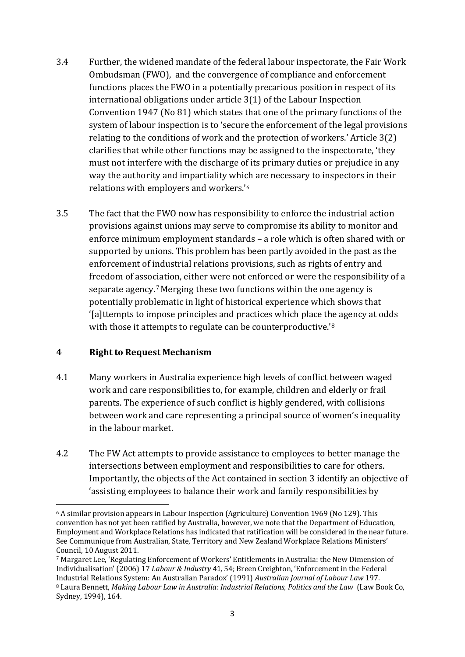- 3.4 Further, the widened mandate of the federal labour inspectorate, the Fair Work Ombudsman (FWO), and the convergence of compliance and enforcement functions places the FWO in a potentially precarious position in respect of its international obligations under article 3(1) of the Labour Inspection Convention 1947 (No 81) which states that one of the primary functions of the system of labour inspection is to 'secure the enforcement of the legal provisions relating to the conditions of work and the protection of workers.' Article 3(2) clarifies that while other functions may be assigned to the inspectorate, 'they must not interfere with the discharge of its primary duties or prejudice in any way the authority and impartiality whi[ch](#page-3-2) are necessary to inspectors in their relations with employers and workers.'6
- 3.5 The fact that the FWO now has responsibility to enforce the industrial action provisions against unions may serve to compromise its ability to monitor and enforce minimum employment standards – a role which is often shared with or supported by unions. This problem has been partly avoided in the past as the enforcement of industrial relations provisions, such as rights of entry and freedom of association, either were not enforced or were the responsibility of a separate agency.[7](#page-4-0)Merging these two functions within the one agency is potentially problematic in light of historical experience which shows that '[a]ttempts to impose principles and practices which place the agency at odds with those it attempts to regulate can be counterproductive.<sup>'[8](#page-4-1)</sup>

#### **4 Right to Request Mechanism**

- 4.1 Many workers in Australia experience high levels of conflict between waged work and care responsibilities to, for example, children and elderly or frail parents. The experience of such conflict is highly gendered, with collisions between work and care representing a principal source of women's inequality in the labour market.
- 4.2 The FW Act attempts to provide assistance to employees to better manage the intersections between employment and responsibilities to care for others. Importantly, the objects of the Act contained in section 3 identify an objective of 'assisting employees to balance their work and family responsibilities by

<span id="page-4-3"></span> $\overline{\phantom{a}}$ <sup>6</sup> A similar provision appears in Labour Inspection (Agriculture) Convention 1969 (No 129). This convention has not yet been ratified by Australia, however, we note that the Department of Education, Employment and Workplace Relations has indicated that ratification will be considered in the near future. See Communique from Australian, State, Territory and New Zealand Workplace Relations Ministers' Council, 10 August 2011.

<span id="page-4-2"></span><span id="page-4-1"></span><span id="page-4-0"></span><sup>7</sup> Margaret Lee, 'Regulating Enforcement of Workers' Entitlements in Australia: the New Dimension of Individualisation' (2006) 17 *Labour & Industry* 41, 54; Breen Creighton, 'Enforcement in the Federal Industrial Relations System: An Australian Paradox' (1991) *Australian Journal of Labour Law* 197. <sup>8</sup> Laura Bennett, *Making Labour Law in Australia: Industrial Relations, Politics and the Law* (Law Book Co, Sydney, 1994), 164.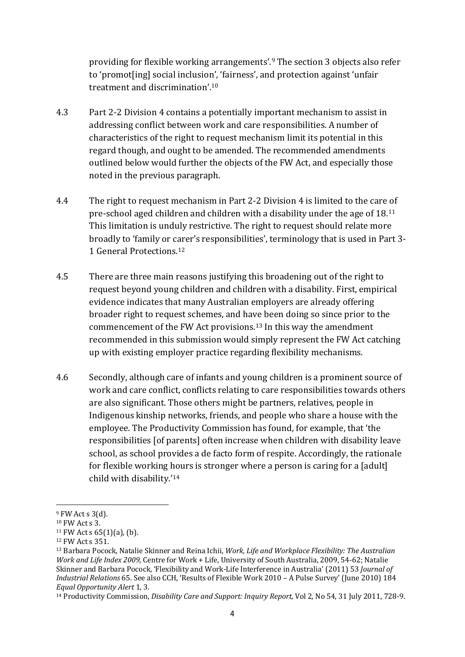providing for flexible working arrangements'.[9](#page-4-2) The section 3 objects also refer to 'promot[ing] social inclusion', 'fairness', and protection against 'unfair treatment and discrimination'.[10](#page-4-3)

- 4.3 Part 2-2 Division 4 contains a potentially important mechanism to assist in addressing conflict between work and care responsibilities. A number of characteristics of the right to request mechanism limit its potential in this regard though, and ought to be amended. The recommended amendments outlined below would further the objects of the FW Act, and especially those noted in the previous paragraph.
- 4.4 The right to request mechanism in Part 2-2 Division 4 is limited to the care of pre-school aged children and children with a disability under the age of 18.[11](#page-5-0) This limitation is unduly restrictive. The right to request should relate more broadly to 'family or carer's responsibilities', terminology that is used in Part 3- 1 General Protections.[12](#page-5-1)
- 4.5 There are three main reasons justifying this broadening out of the right to request beyond young children and children with a disability. First, empirical evidence indicates that many Australian employers are already offering broader right to request schemes, and have been doing so since prior to the commencement of the FW Act provisions.[13](#page-5-2) In this way the amendment recommended in this submission would simply represent the FW Act catching up with existing employer practice regarding flexibility mechanisms.
- <span id="page-5-4"></span>4.6 Secondly, although care of infants and young children is a prominent source of work and care conflict, conflicts relating to care responsibilities towards others are also significant. Those others might be partners, relatives, people in Indigenous kinship networks, friends, and people who share a house with the employee. The Productivity Commission has found, for example, that 'the responsibilities [of parents] often increase when children with disability leave school, as school provides a de facto form of respite. Accordingly, the rationale for flexible working hours is stronger where a person is caring for a [adult] child with disability.'[14](#page-5-3)

**.** 

 $9$  FW Act s 3(d).

<sup>10</sup> FW Act s 3.

<span id="page-5-0"></span> $11$  FW Act s 65(1)(a), (b).

<span id="page-5-1"></span><sup>12</sup> FW Act s 351.

<span id="page-5-2"></span><sup>13</sup> Barbara Pocock, Natalie Skinner and Reina Ichii, *Work, Life and Workplace Flexibility: The Australian Work and Life Index 2009*, Centre for Work + Life, University of South Australia, 2009, 54-62; Natalie Skinner and Barbara Pocock, 'Flexibility and Work-Life Interference in Australia' (2011) 53 *Journal of Industrial Relations* 65. See also CCH, 'Results of Flexible Work 2010 – A Pulse Survey' (June 2010) 184 *Equal Opportunity Alert* 1, 3.

<span id="page-5-3"></span><sup>14</sup> Productivity Commission, *Disability Care and Support: Inquiry Report*, Vol 2, No 54, 31 July 2011, 728-9.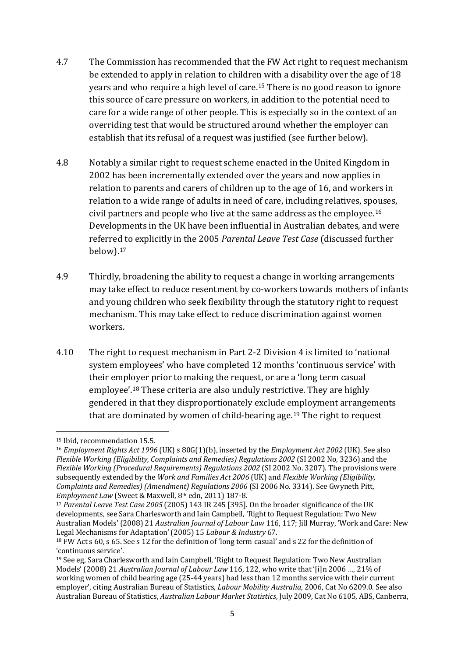- 4.7 The Commission has recommended that the FW Act right to request mechanism be extended to apply in relation to children with a disability over the age of 18 years and who require a high level of care.[15](#page-5-4) There is no good reason to ignore this source of care pressure on workers, in addition to the potential need to care for a wide range of other people. This is especially so in the context of an overriding test that would be structured around whether the employer can establish that its refusal of a request was justified (see further below).
- 4.8 Notably a similar right to request scheme enacted in the United Kingdom in 2002 has been incrementally extended over the years and now applies in relation to parents and carers of children up to the age of 16, and workers in relation to a wide range of adults in need of care, including relatives, spouses, civil partners and people who live at the same address as the employee.[16](#page-6-0) Developments in the UK have been influential in Australian debates, and were referred to explicitly in the 2005 *Parental Leave Test Case* (discussed further below).[17](#page-6-1)
- 4.9 Thirdly, broadening the ability to request a change in working arrangements may take effect to reduce resentment by co-workers towards mothers of infants and young children who seek flexibility through the statutory right to request mechanism. This may take effect to reduce discrimination against women workers.
- 4.10 The right to request mechanism in Part 2-2 Division 4 is limited to 'national system employees' who have completed 12 months 'continuous service' with their employer prior to making the request, or are a 'long term casual employee'.[18](#page-6-2) These criteria are also unduly restrictive. They are highly gendered in that they disproportionately exclude employment arrangements that are dominated by women of child-bearing age.<sup>[19](#page-6-3)</sup> The right to request

<sup>15</sup> Ibid, recommendation 15.5.

<span id="page-6-0"></span><sup>16</sup> *Employment Rights Act 1996* (UK) s 80G(1)(b), inserted by the *Employment Act 2002* (UK). See also *Flexible Working (Eligibility, Complaints and Remedies) Regulations 2002* (SI 2002 No, 3236) and the *Flexible Working (Procedural Requirements) Regulations 2002* (SI 2002 No. 3207). The provisions were subsequently extended by the *Work and Families Act 2006* (UK) and *Flexible Working (Eligibility, Complaints and Remedies) (Amendment) Regulations 2006* (SI 2006 No. 3314). See Gwyneth Pitt, *Employment Law* (Sweet & Maxwell, 8th edn, 2011) 187-8.

<span id="page-6-1"></span><sup>17</sup> *Parental Leave Test Case 2005* (2005) 143 IR 245 [395]. On the broader significance of the UK developments, see Sara Charlesworth and Iain Campbell, 'Right to Request Regulation: Two New Australian Models' (2008) 21 *Australian Journal of Labour Law* 116, 117; Jill Murray, 'Work and Care: New Legal Mechanisms for Adaptation' (2005) 15 *Labour & Industry* 67.

<span id="page-6-4"></span><span id="page-6-2"></span><sup>18</sup> FW Act s 60, s 65. See s 12 for the definition of 'long term casual' and s 22 for the definition of 'continuous service'.

<span id="page-6-3"></span><sup>19</sup> See eg, Sara Charlesworth and Iain Campbell, 'Right to Request Regulation: Two New Australian Models' (2008) 21 *Australian Journal of Labour Law* 116, 122, who write that '[i]n 2006 …, 21% of working women of child bearing age (25-44 years) had less than 12 months service with their current employer', citing Australian Bureau of Statistics, *Labour Mobility Australia*, 2006, Cat No 6209.0. See also Australian Bureau of Statistics, *Australian Labour Market Statistics*, July 2009, Cat No 6105, ABS, Canberra,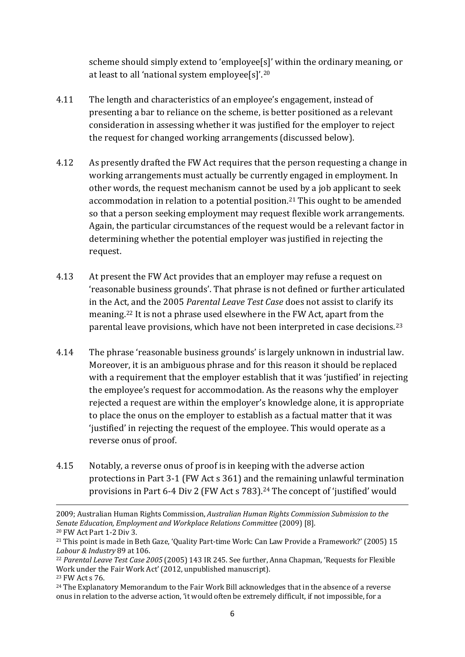scheme should simply extend to 'employee[s]' within the ordinary meaning, or at least to all 'national system employee[s]'.[20](#page-6-4)

- 4.11 The length and characteristics of an employee's engagement, instead of presenting a bar to reliance on the scheme, is better positioned as a relevant consideration in assessing whether it was justified for the employer to reject the request for changed working arrangements (discussed below).
- 4.12 As presently drafted the FW Act requires that the person requesting a change in working arrangements must actually be currently engaged in employment. In other words, the request mechanism cannot be used by a job applicant to seek accommodation in relation to a potential position.<sup>[21](#page-7-0)</sup> This ought to be amended so that a person seeking employment may request flexible work arrangements. Again, the particular circumstances of the request would be a relevant factor in determining whether the potential employer was justified in rejecting the request.
- 4.13 At present the FW Act provides that an employer may refuse a request on 'reasonable business grounds'. That phrase is not defined or further articulated in the Act, and the 2005 *Parental Leave Test Case* does not assist to clarify its meaning.[22](#page-7-1) It is not a phrase used elsewhere in the FW Act, apart from the parental leave provisions, which have not been interpreted in case decisions.<sup>[23](#page-7-2)</sup>
- 4.14 The phrase 'reasonable business grounds' is largely unknown in industrial law. Moreover, it is an ambiguous phrase and for this reason it should be replaced with a requirement that the employer establish that it was 'justified' in rejecting the employee's request for accommodation. As the reasons why the employer rejected a request are within the employer's knowledge alone, it is appropriate to place the onus on the employer to establish as a factual matter that it was 'justified' in rejecting the request of the employee. This would operate as a reverse onus of proof.
- 4.15 Notably, a reverse onus of proof is in keeping with the adverse action protections in Part 3-1 (FW Act s 361) and the remaining unlawful termination provisions in Part 6-4 Div 2 (FW Act s 783).<sup>[24](#page-7-3)</sup> The concept of 'justified' would

**.** 

<sup>2009;</sup> Australian Human Rights Commission, *Australian Human Rights Commission Submission to the Senate Education, Employment and Workplace Relations Committee* (2009) [8]. <sup>20</sup> FW Act Part 1-2 Div 3.

<span id="page-7-0"></span><sup>21</sup> This point is made in Beth Gaze, 'Quality Part-time Work: Can Law Provide a Framework?' (2005) 15 *Labour & Industry* 89 at 106.

<span id="page-7-4"></span><span id="page-7-1"></span><sup>22</sup> *Parental Leave Test Case 2005* (2005) 143 IR 245. See further, Anna Chapman, 'Requests for Flexible Work under the Fair Work Act' (2012, unpublished manuscript).

<span id="page-7-2"></span><sup>23</sup> FW Act s 76.

<span id="page-7-3"></span><sup>24</sup> The Explanatory Memorandum to the Fair Work Bill acknowledges that in the absence of a reverse onus in relation to the adverse action, 'it would often be extremely difficult, if not impossible, for a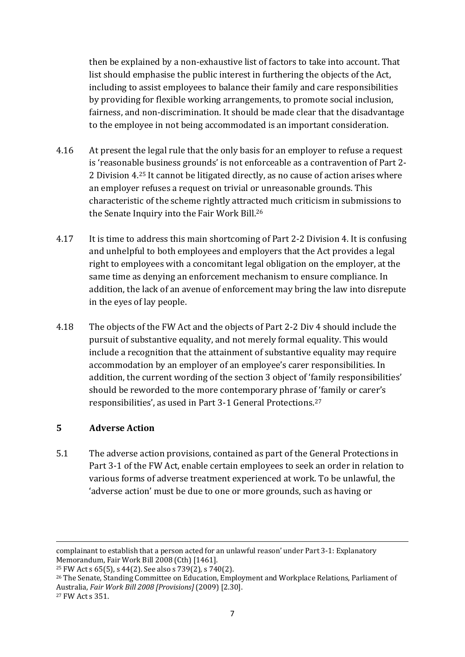then be explained by a non-exhaustive list of factors to take into account. That list should emphasise the public interest in furthering the objects of the Act, including to assist employees to balance their family and care responsibilities by providing for flexible working arrangements, to promote social inclusion, fairness, and non-discrimination. It should be made clear that the disadvantage to the employee in not being accommodated is an important consideration.

- 4.16 At present the legal rule that the only basis for an employer to refuse a request is 'reasonable business grounds' is not enforceable as a contravention of Part 2- 2 Division 4.[25](#page-7-4) It cannot be litigated directly, as no cause of action arises where an employer refuses a request on trivial or unreasonable grounds. This characteristic of the scheme rightly attracted much criticism in submissions to the Senate Inquiry into the Fair Work Bill[.26](#page-8-0)
- 4.17 It is time to address this main shortcoming of Part 2-2 Division 4. It is confusing and unhelpful to both employees and employers that the Act provides a legal right to employees with a concomitant legal obligation on the employer, at the same time as denying an enforcement mechanism to ensure compliance. In addition, the lack of an avenue of enforcement may bring the law into disrepute in the eyes of lay people.
- 4.18 The objects of the FW Act and the objects of Part 2-2 Div 4 should include the pursuit of substantive equality, and not merely formal equality. This would include a recognition that the attainment of substantive equality may require accommodation by an employer of an employee's carer responsibilities. In addition, the current wording of the section 3 object of 'family responsibilities' should be reworded to the more contemporary phrase of 'family or carer's responsibilities', as used in Part 3-1 General Protections.[27](#page-8-1)

## **5 Adverse Action**

<span id="page-8-2"></span>5.1 The adverse action provisions, contained as part of the General Protections in Part 3-1 of the FW Act, enable certain employees to seek an order in relation to various forms of adverse treatment experienced at work. To be unlawful, the 'adverse action' must be due to one or more grounds, such as having or

complainant to establish that a person acted for an unlawful reason' under Part 3-1: Explanatory Memorandum, Fair Work Bill 2008 (Cth) [1461].

<sup>&</sup>lt;sup>25</sup> FW Act s 65(5), s 44(2). See also s  $739(2)$ , s  $740(2)$ .

<span id="page-8-1"></span><span id="page-8-0"></span><sup>&</sup>lt;sup>26</sup> The Senate, Standing Committee on Education, Employment and Workplace Relations, Parliament of Australia, *Fair Work Bill 2008 [Provisions]* (2009) [2.30].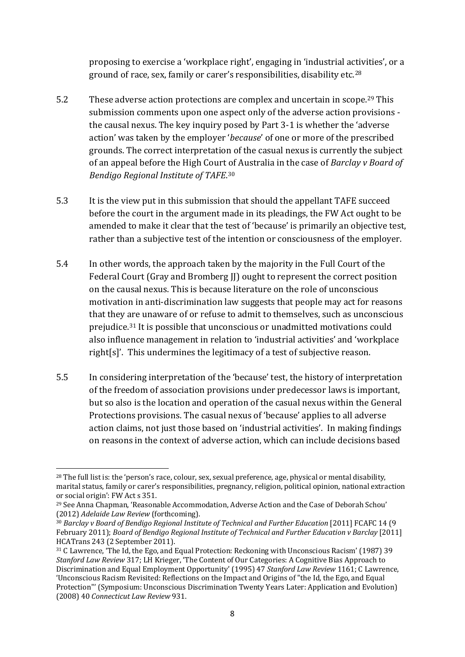proposing to exercise a 'workplace right', engaging in 'industrial activities', or a ground of race, sex, family or carer's responsibilities, disability etc.[28](#page-8-2)

- 5.2 These adverse action protections are complex and uncertain in scope.[29](#page-9-0) This submission comments upon one aspect only of the adverse action provisions the causal nexus. The key inquiry posed by Part 3-1 is whether the 'adverse action' was taken by the employer '*because*' of one or more of the prescribed grounds. The correct interpretation of the casual nexus is currently the subject of an appeal before the High Court [of](#page-9-1) Australia in the case of *Barclay v Board of Bendigo Regional Institute of TAFE*. 30
- 5.3 It is the view put in this submission that should the appellant TAFE succeed before the court in the argument made in its pleadings, the FW Act ought to be amended to make it clear that the test of 'because' is primarily an objective test, rather than a subjective test of the intention or consciousness of the employer.
- 5.4 In other words, the approach taken by the majority in the Full Court of the Federal Court (Gray and Bromberg II) ought to represent the correct position on the causal nexus. This is because literature on the role of unconscious motivation in anti-discrimination law suggests that people may act for reasons that they are unaware of or refuse to admit to themselves, such as unconscious prejudice.[31](#page-9-2) It is possible that unconscious or unadmitted motivations could also influence management in relation to 'industrial activities' and 'workplace right[s]'. This undermines the legitimacy of a test of subjective reason.
- 5.5 In considering interpretation of the 'because' test, the history of interpretation of the freedom of association provisions under predecessor laws is important, but so also is the location and operation of the casual nexus within the General Protections provisions. The casual nexus of 'because' applies to all adverse action claims, not just those based on 'industrial activities'. In making findings on reasons in the context of adverse action, which can include decisions based

**<sup>.</sup>** <sup>28</sup> The full list is: the 'person's race, colour, sex, sexual preference, age, physical or mental disability, marital status, family or carer's responsibilities, pregnancy, religion, political opinion, national extraction or social origin': FW Act s 351.

<span id="page-9-3"></span><span id="page-9-0"></span><sup>&</sup>lt;sup>29</sup> See Anna Chapman, 'Reasonable Accommodation, Adverse Action and the Case of Deborah Schou' (2012) Adelaide Law Review (forthcoming).

<span id="page-9-1"></span><sup>(2012)</sup> *Adelaide Law Review* (forthcoming). 30 *Barclay v Board of Bendigo Regional Institute of Technical and Further Education* [2011] FCAFC 14 (9 February 2011); *Board of Bendigo Regional Institute of Technical and Further Education v Barclay* [2011] HCATrans 243 (2 September 2011).

<span id="page-9-2"></span><sup>&</sup>lt;sup>31</sup> C Lawrence, 'The Id, the Ego, and Equal Protection: Reckoning with Unconscious Racism' (1987) 39 *Stanford Law Review* 317; LH Krieger, 'The Content of Our Categories: A Cognitive Bias Approach to Discrimination and Equal Employment Opportunity' (1995) 47 *Stanford Law Review* 1161; C Lawrence, 'Unconscious Racism Revisited: Reflections on the Impact and Origins of "the Id, the Ego, and Equal Protection"' (Symposium: Unconscious Discrimination Twenty Years Later: Application and Evolution) (2008) 40 *Connecticut Law Review* 931.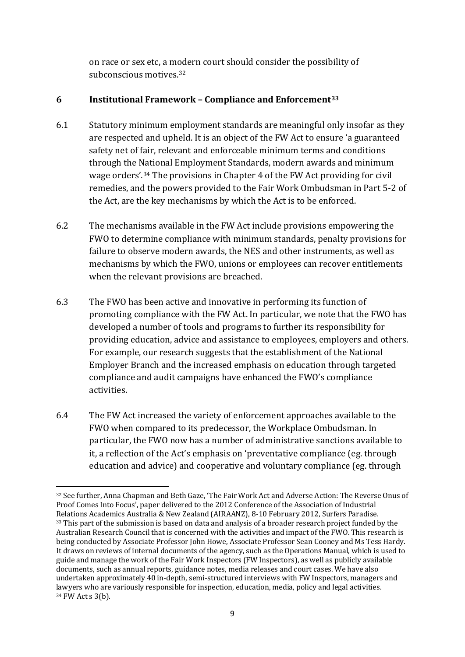on race or sex etc, a modern court should consider the possibility of subconscious motives[.32](#page-9-3)

## **6 Institutional Framework – Compliance and Enforcement[33](#page-10-0)**

- 6.1 Statutory minimum employment standards are meaningful only insofar as they are respected and upheld. It is an object of the FW Act to ensure 'a guaranteed safety net of fair, relevant and enforceable minimum terms and conditions through the National Employment Standards, modern awards and minimum wage orders'.[34](#page-10-1) The provisions in Chapter 4 of the FW Act providing for civil remedies, and the powers provided to the Fair Work Ombudsman in Part 5-2 of the Act, are the key mechanisms by which the Act is to be enforced.
- 6.2 The mechanisms available in the FW Act include provisions empowering the FWO to determine compliance with minimum standards, penalty provisions for failure to observe modern awards, the NES and other instruments, as well as mechanisms by which the FWO, unions or employees can recover entitlements when the relevant provisions are breached.
- 6.3 The FWO has been active and innovative in performing its function of promoting compliance with the FW Act. In particular, we note that the FWO has developed a number of tools and programs to further its responsibility for providing education, advice and assistance to employees, employers and others. For example, our research suggests that the establishment of the National Employer Branch and the increased emphasis on education through targeted compliance and audit campaigns have enhanced the FWO's compliance activities.
- <span id="page-10-2"></span>6.4 The FW Act increased the variety of enforcement approaches available to the FWO when compared to its predecessor, the Workplace Ombudsman. In particular, the FWO now has a number of administrative sanctions available to it, a reflection of the Act's emphasis on 'preventative compliance (eg. through education and advice) and cooperative and voluntary compliance (eg. through

**.** 

<span id="page-10-1"></span><span id="page-10-0"></span><sup>32</sup> See further, Anna Chapman and Beth Gaze, 'The Fair Work Act and Adverse Action: The Reverse Onus of Proof Comes Into Focus', paper delivered to the 2012 Conference of the Association of Industrial Relations Academics Australia & New Zealand (AIRAANZ), 8-10 February 2012, Surfers Paradise. <sup>33</sup> This part of the submission is based on data and analysis of a broader research project funded by the Australian Research Council that is concerned with the activities and impact of the FWO. This research is being conducted by Associate Professor John Howe, Associate Professor Sean Cooney and Ms Tess Hardy. It draws on reviews of internal documents of the agency, such as the Operations Manual, which is used to guide and manage the work of the Fair Work Inspectors (FW Inspectors), as well as publicly available documents, such as annual reports, guidance notes, media releases and court cases. We have also undertaken approximately 40 in-depth, semi-structured interviews with FW Inspectors, managers and lawyers who are variously responsible for inspection, education, media, policy and legal activities. <sup>34</sup> FW Act s 3(b).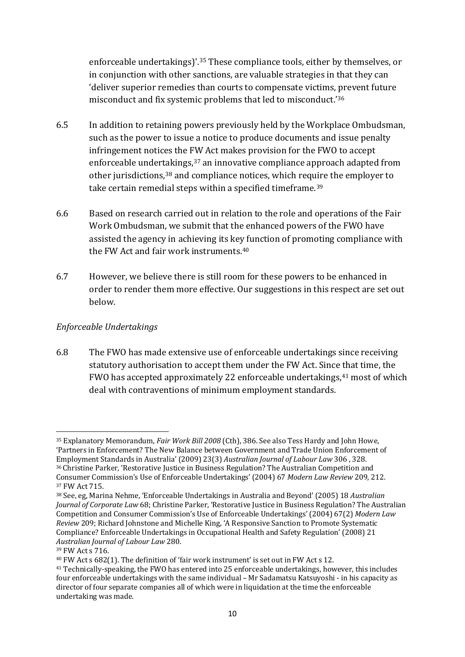enforceable undertakings)'.[35](#page-10-2) These compliance tools, either by themselves, or in conjunction with other sanctions, are valuable strategies in that they can 'deliver superior remedies than courts to compensate victims, prevent future misconduct and fix systemic problems that led to misconduct.'[36](#page-11-0)

- 6.5 In addition to retaining powers previously held by the Workplace Ombudsman, such as the power to issue a notice to produce documents and issue penalty infringement notices the FW Act makes provision for the FWO to accept enforceable under[tak](#page-11-2)ings,<sup>[37](#page-11-1)</sup> an innovative compliance approach adapted from other jurisdictions.<sup>38</sup> and compliance notices, which req[uir](#page-11-3)e the employer to take certain remedial steps within a specified timeframe.<sup>39</sup>
- 6.6 Based on research carried out in relation to the role and operations of the Fair Work Ombudsman, we submit that the enhanced powers of the FWO have assisted the agency in achieving its key function of promoting compliance with the FW Act and fair work instruments.[40](#page-11-4)
- 6.7 However, we believe there is still room for these powers to be enhanced in order to render them more effective. Our suggestions in this respect are set out below.

## *Enforceable Undertakings*

6.8 The FWO has made extensive use of enforceable undertakings since receiving statutory authorisation to accept them under the FW Act. Since that time, the FWO has accepted approximately 22 enforceable undertakings,<sup>[41](#page-11-5)</sup> most of which deal with contraventions of minimum employment standards.

<span id="page-11-0"></span><sup>35</sup> Explanatory Memorandum, *Fair Work Bill 2008* (Cth), 386. See also Tess Hardy and John Howe, 'Partners in Enforcement? The New Balance between Government and Trade Union Enforcement of Employment Standards in Australia' (2009) 23(3) *Australian Journal of Labour Law* 306 , 328. <sup>36</sup> Christine Parker, 'Restorative Justice in Business Regulation? The Australian Competition and Consumer Commission's Use of Enforceable Undertakings' (2004) 67 *Modern Law Review* 209, 212. 37 FW Act 715.

<span id="page-11-2"></span><span id="page-11-1"></span><sup>38</sup> See, eg, Marina Nehme, 'Enforceable Undertakings in Australia and Beyond' (2005) 18 *Australian Journal of Corporate Law* 68; Christine Parker, 'Restorative Justice in Business Regulation? The Australian Competition and Consumer Commission's Use of Enforceable Undertakings' (2004) 67(2) *Modern Law Review* 209; Richard Johnstone and Michelle King, 'A Responsive Sanction to Promote Systematic Compliance? Enforceable Undertakings in Occupational Health and Safety Regulation' (2008) 21 *Australian Journal of Labour Law* 280.

<span id="page-11-6"></span><span id="page-11-3"></span><sup>39</sup> FW Act s 716.

<span id="page-11-4"></span><sup>40</sup> FW Act s 682(1). The definition of 'fair work instrument' is set out in FW Act s 12.

<span id="page-11-5"></span><sup>41</sup> Technically-speaking, the FWO has entered into 25 enforceable undertakings, however, this includes four enforceable undertakings with the same individual – Mr Sadamatsu Katsuyoshi - in his capacity as director of four separate companies all of which were in liquidation at the time the enforceable undertaking was made.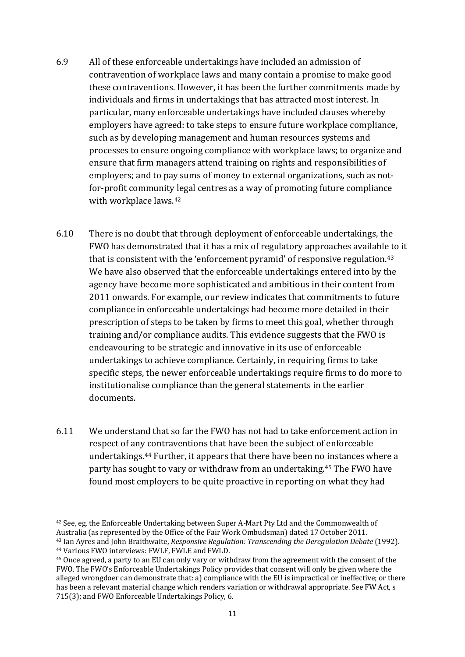- 6.9 All of these enforceable undertakings have included an admission of contravention of workplace laws and many contain a promise to make good these contraventions. However, it has been the further commitments made by individuals and firms in undertakings that has attracted most interest. In particular, many enforceable undertakings have included clauses whereby employers have agreed: to take steps to ensure future workplace compliance, such as by developing management and human resources systems and processes to ensure ongoing compliance with workplace laws; to organize and ensure that firm managers attend training on rights and responsibilities of employers; and to pay sums of money to external organizations, such as notfor-profit community legal centres as a way of promoting future compliance with workplace laws[.42](#page-11-6)
- 6.10 There is no doubt that through deployment of enforceable undertakings, the FWO has demonstrated that it has a mix of regulatory approaches available to it that is consistent with the 'enforcement pyramid' of responsive regulation.[43](#page-12-0) We have also observed that the enforceable undertakings entered into by the agency have become more sophisticated and ambitious in their content from 2011 onwards. For example, our review indicates that commitments to future compliance in enforceable undertakings had become more detailed in their prescription of steps to be taken by firms to meet this goal, whether through training and/or compliance audits. This evidence suggests that the FWO is endeavouring to be strategic and innovative in its use of enforceable undertakings to achieve compliance. Certainly, in requiring firms to take specific steps, the newer enforceable undertakings require firms to do more to institutionalise compliance than the general statements in the earlier documents.
- 6.11 We understand that so far the FWO has not had to take enforcement action in respect of any contraventions that have been the subject of enforceable undertakings.[44](#page-12-1) Further, it appears that there have been no instances where a party has sought to vary or withdraw from an undertaking.[45](#page-12-2) The FWO have found most employers to be quite proactive in reporting on what they had

<span id="page-12-3"></span><sup>42</sup> See, eg. the Enforceable Undertaking between Super A-Mart Pty Ltd and the Commonwealth of Australia (as represented by the Office of the Fair Work Ombudsman) dated 17 October 2011.

<span id="page-12-0"></span><sup>43</sup> Ian Ayres and John Braithwaite, *Responsive Regulation: Transcending the Deregulation Debate* (1992).

<span id="page-12-1"></span><sup>44</sup> Various FWO interviews: FWLF, FWLE and FWLD.

<span id="page-12-2"></span><sup>45</sup> Once agreed, a party to an EU can only vary or withdraw from the agreement with the consent of the FWO. The FWO's Enforceable Undertakings Policy provides that consent will only be given where the alleged wrongdoer can demonstrate that: a) compliance with the EU is impractical or ineffective; or there has been a relevant material change which renders variation or withdrawal appropriate. See FW Act, s 715(3); and FWO Enforceable Undertakings Policy, 6.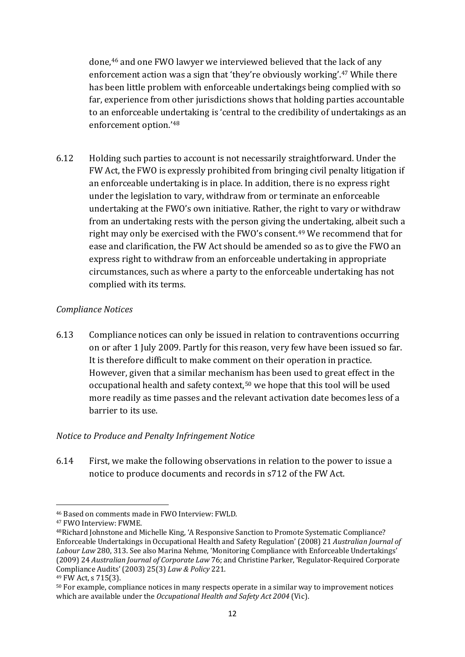done,<sup>[46](#page-12-3)</sup> and one FWO lawyer we interviewed believed that the lack of any enforcement action was a sign that 'they're obviously working'[.47](#page-13-0) While there has been little problem with enforceable undertakings being complied with so far, experience from other jurisdictions shows that holding parties accountable to an enforceable undertaking is 'central to the credibility of undertakings as an enforcement option.'[48](#page-13-1)

6.12 Holding such parties to account is not necessarily straightforward. Under the FW Act, the FWO is expressly prohibited from bringing civil penalty litigation if an enforceable undertaking is in place. In addition, there is no express right under the legislation to vary, withdraw from or terminate an enforceable undertaking at the FWO's own initiative. Rather, the right to vary or withdraw from an undertaking rests with the person giving the undertaking, albeit such a right may only be exercised with the FWO's consent.<sup>[49](#page-13-2)</sup> We recommend that for ease and clarification, the FW Act should be amended so as to give the FWO an express right to withdraw from an enforceable undertaking in appropriate circumstances, such as where a party to the enforceable undertaking has not complied with its terms.

## *Compliance Notices*

6.13 Compliance notices can only be issued in relation to contraventions occurring on or after 1 July 2009. Partly for this reason, very few have been issued so far. It is therefore difficult to make comment on their operation in practice. However, given that a similar mechanism has been used to great effect in the occupational health and safety context,<sup>[50](#page-13-3)</sup> we hope that this tool will be used more readily as time passes and the relevant activation date becomes less of a barrier to its use.

## *Notice to Produce and Penalty Infringement Notice*

6.14 First, we make the following observations in relation to the power to issue a notice to produce documents and records in s712 of the FW Act.

**<sup>.</sup>** <sup>46</sup> Based on comments made in FWO Interview: FWLD.

<span id="page-13-0"></span><sup>47</sup> FWO Interview: FWME.

<span id="page-13-1"></span><sup>48</sup>Richard Johnstone and Michelle King, 'A Responsive Sanction to Promote Systematic Compliance? Enforceable Undertakings in Occupational Health and Safety Regulation' (2008) 21 *Australian Journal of Labour Law* 280, 313. See also Marina Nehme, 'Monitoring Compliance with Enforceable Undertakings' (2009) 24 *Australian Journal of Corporate Law* 76; and Christine Parker, 'Regulator-Required Corporate Compliance Audits' (2003) 25(3) *Law & Policy* 221.

<span id="page-13-2"></span><sup>49</sup> FW Act, s 715(3).

<span id="page-13-3"></span><sup>50</sup> For example, compliance notices in many respects operate in a similar way to improvement notices which are available under the *Occupational Health and Safety Act 2004* (Vic).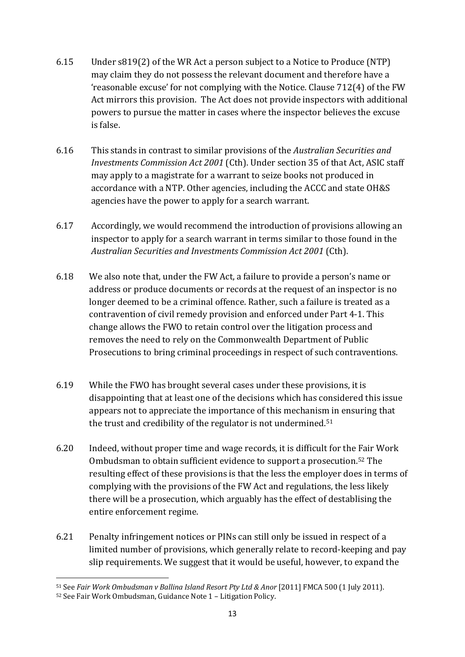- 6.15 Under s819(2) of the WR Act a person subject to a Notice to Produce (NTP) may claim they do not possess the relevant document and therefore have a 'reasonable excuse' for not complying with the Notice. Clause 712(4) of the FW Act mirrors this provision. The Act does not provide inspectors with additional powers to pursue the matter in cases where the inspector believes the excuse is false.
- 6.16 This stands in contrast to similar provisions of the *Australian Securities and Investments Commission Act 2001* (Cth). Under section 35 of that Act, ASIC staff may apply to a magistrate for a warrant to seize books not produced in accordance with a NTP. Other agencies, including the ACCC and state OH&S agencies have the power to apply for a search warrant.
- 6.17 Accordingly, we would recommend the introduction of provisions allowing an inspector to apply for a search warrant in terms similar to those found in the *Australian Securities and Investments Commission Act 2001* (Cth).
- 6.18 We also note that, under the FW Act, a failure to provide a person's name or address or produce documents or records at the request of an inspector is no longer deemed to be a criminal offence. Rather, such a failure is treated as a contravention of civil remedy provision and enforced under Part 4-1. This change allows the FWO to retain control over the litigation process and removes the need to rely on the Commonwealth Department of Public Prosecutions to bring criminal proceedings in respect of such contraventions.
- 6.19 While the FWO has brought several cases under these provisions, it is disappointing that at least one of the decisions which has considered this issue appears not to appreciate the importance of this mechanism in ensuring that the trust and credibility of the regulator is not undermined.<sup>[51](#page-13-3)</sup>
- <span id="page-14-1"></span>6.20 Indeed, without proper time and wage records, it is difficult for the Fair Work Ombudsman to obtain sufficient evidence to support a prosecution.[52](#page-14-0) The resulting effect of these provisions is that the less the employer does in terms of complying with the provisions of the FW Act and regulations, the less likely there will be a prosecution, which arguably has the effect of destablising the entire enforcement regime.
- 6.21 Penalty infringement notices or PINs can still only be issued in respect of a limited number of provisions, which generally relate to record-keeping and pay slip requirements. We suggest that it would be useful, however, to expand the

**<sup>.</sup>** <sup>51</sup> See *Fair Work Ombudsman v Ballina Island Resort Pty Ltd & Anor* [2011] FMCA 500 (1 July 2011).

<span id="page-14-0"></span><sup>52</sup> See Fair Work Ombudsman, Guidance Note 1 – Litigation Policy.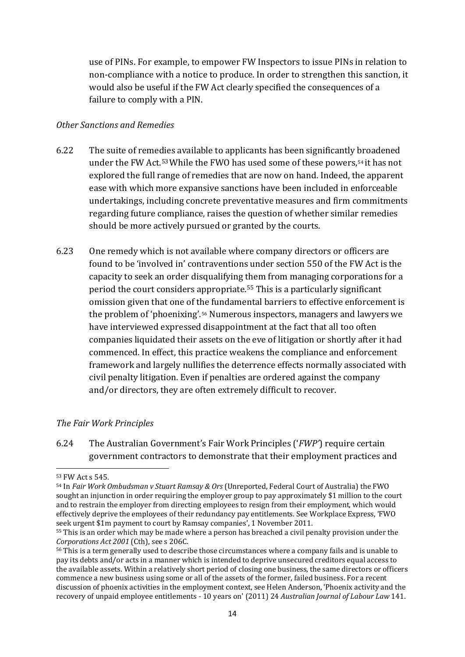use of PINs. For example, to empower FW Inspectors to issue PINs in relation to non-compliance with a notice to produce. In order to strengthen this sanction, it would also be useful if the FW Act clearly specified the consequences of a failure to comply with a PIN.

#### *Other Sanctions and Remedies*

- 6.22 The suite of remedies available to applicants has been significantly broadened under the FW Act.<sup>[53](#page-14-1)</sup> While the FWO has used some of these powers,<sup>[54](#page-15-0)</sup> it has not explored the full range of remedies that are now on hand. Indeed, the apparent ease with which more expansive sanctions have been included in enforceable undertakings, including concrete preventative measures and firm commitments regarding future compliance, raises the question of whether similar remedies should be more actively pursued or granted by the courts.
- 6.23 One remedy which is not available where company directors or officers are found to be 'involved in' contraventions under section 550 of the FW Act is the capacity to seek an order disqualifying them from managing corporations for a period the court considers appropriate.[55](#page-15-1) This is a particularly significant omission given that one of t[he](#page-15-2) fundamental barriers to effective enforcement is the problem of 'phoenixing'.56 Numerous inspectors, managers and lawyers we have interviewed expressed disappointment at the fact that all too often companies liquidated their assets on the eve of litigation or shortly after it had commenced. In effect, this practice weakens the compliance and enforcement framework and largely nullifies the deterrence effects normally associated with civil penalty litigation. Even if penalties are ordered against the company and/or directors, they are often extremely difficult to recover.

#### *The Fair Work Principles*

6.24 The Australian Government's Fair Work Principles ('*FWP'*) require certain government contractors to demonstrate that their employment practices and

**<sup>.</sup>** <sup>53</sup> FW Act s 545.

<span id="page-15-0"></span><sup>54</sup> In *Fair Work Ombudsman v Stuart Ramsay & Ors* (Unreported, Federal Court of Australia) the FWO sought an injunction in order requiring the employer group to pay approximately \$1 million to the court and to restrain the employer from directing employees to resign from their employment, which would effectively deprive the employees of their redundancy pay entitlements. See Workplace Express, 'FWO seek urgent \$1m payment to court by Ramsay companies', 1 November 2011.

<span id="page-15-1"></span><sup>55</sup> This is an order which may be made where a person has breached a civil penalty provision under the *Corporations Act 2001* (Cth), see s 206C.

<span id="page-15-2"></span><sup>56</sup> This is a term generally used to describe those circumstances where a company fails and is unable to pay its debts and/or acts in a manner which is intended to deprive unsecured creditors equal access to the available assets. Within a relatively short period of closing one business, the same directors or officers commence a new business using some or all of the assets of the former, failed business. For a recent discussion of phoenix activities in the employment context, see Helen Anderson, 'Phoenix activity and the recovery of unpaid employee entitlements - 10 years on' (2011) 24 *Australian Journal of Labour Law* 141.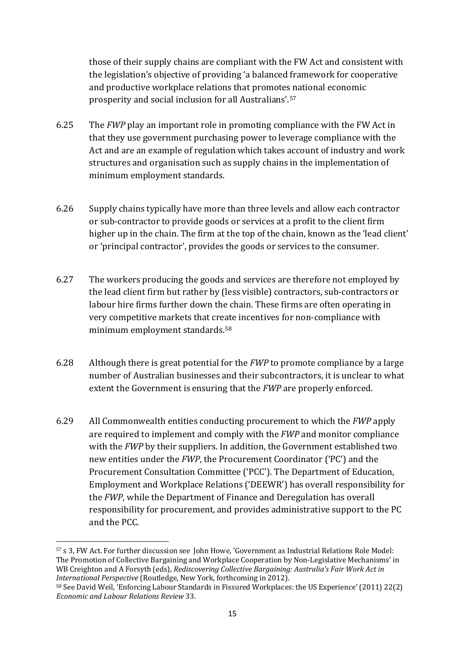those of their supply chains are compliant with the FW Act and consistent with the legislation's objective of providing 'a balanced framework for cooperative and productive workplace relations that promotes national economic prosperity and social inclusion for all Australians'.[57](#page-15-2)

- 6.25 The *FWP* play an important role in promoting compliance with the FW Act in that they use government purchasing power to leverage compliance with the Act and are an example of regulation which takes account of industry and work structures and organisation such as supply chains in the implementation of minimum employment standards.
- 6.26 Supply chains typically have more than three levels and allow each contractor or sub-contractor to provide goods or services at a profit to the client firm higher up in the chain. The firm at the top of the chain, known as the 'lead client' or 'principal contractor', provides the goods or services to the consumer.
- 6.27 The workers producing the goods and services are therefore not employed by the lead client firm but rather by (less visible) contractors, sub-contractors or labour hire firms further down the chain. These firms are often operating in very competitive markets that create incentives for non-compliance with minimum employment standards[.58](#page-16-0)
- 6.28 Although there is great potential for the *FWP* to promote compliance by a large number of Australian businesses and their subcontractors, it is unclear to what extent the Government is ensuring that the *FWP* are properly enforced.
- 6.29 All Commonwealth entities conducting procurement to which the *FWP* apply are required to implement and comply with the *FWP* and monitor compliance with the *FWP* by their suppliers. In addition, the Government established two new entities under the *FWP*, the Procurement Coordinator ('PC') and the Procurement Consultation Committee ('PCC'). The Department of Education, Employment and Workplace Relations ('DEEWR') has overall responsibility for the *FWP*, while the Department of Finance and Deregulation has overall responsibility for procurement, and provides administrative support to the PC and the PCC.

<sup>57</sup> s 3, FW Act. For further discussion see John Howe, 'Government as Industrial Relations Role Model: The Promotion of Collective Bargaining and Workplace Cooperation by Non-Legislative Mechanisms' in WB Creighton and A Forsyth (eds), *Rediscovering Collective Bargaining: Australia's Fair Work Act in International Perspective* (Routledge, New York, forthcoming in 2012).

<span id="page-16-1"></span><span id="page-16-0"></span><sup>58</sup> See David Weil, 'Enforcing Labour Standards in Fissured Workplaces: the US Experience' (2011) 22(2) *Economic and Labour Relations Review* 33.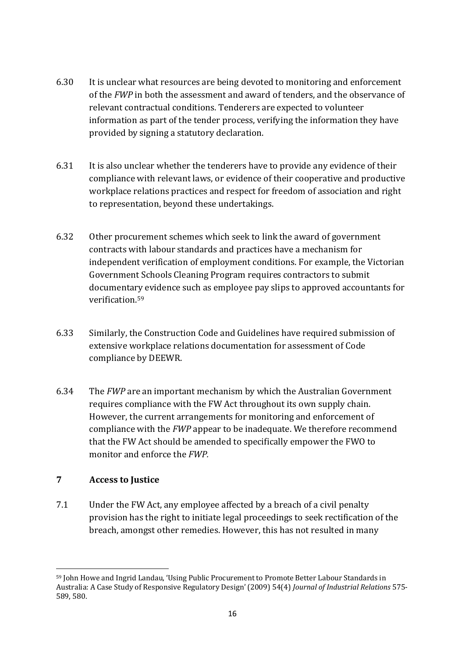- 6.30 It is unclear what resources are being devoted to monitoring and enforcement of the *FWP* in both the assessment and award of tenders, and the observance of relevant contractual conditions. Tenderers are expected to volunteer information as part of the tender process, verifying the information they have provided by signing a statutory declaration.
- 6.31 It is also unclear whether the tenderers have to provide any evidence of their compliance with relevant laws, or evidence of their cooperative and productive workplace relations practices and respect for freedom of association and right to representation, beyond these undertakings.
- 6.32 Other procurement schemes which seek to link the award of government contracts with labour standards and practices have a mechanism for independent verification of employment conditions. For example, the Victorian Government Schools Cleaning Program requires contractors to submit documentary evidence such as employee pay slips to approved accountants for verification.[59](#page-16-1)
- 6.33 Similarly, the Construction Code and Guidelines have required submission of extensive workplace relations documentation for assessment of Code compliance by DEEWR.
- 6.34 The *FWP* are an important mechanism by which the Australian Government requires compliance with the FW Act throughout its own supply chain. However, the current arrangements for monitoring and enforcement of compliance with the *FWP* appear to be inadequate. We therefore recommend that the FW Act should be amended to specifically empower the FWO to monitor and enforce the *FWP.*

## <span id="page-17-0"></span>**7 Access to Justice**

**.** 

7.1 Under the FW Act, any employee affected by a breach of a civil penalty provision has the right to initiate legal proceedings to seek rectification of the breach, amongst other remedies. However, this has not resulted in many

<sup>59</sup> John Howe and Ingrid Landau, 'Using Public Procurement to Promote Better Labour Standards in Australia: A Case Study of Responsive Regulatory Design' (2009) 54(4) *Journal of Industrial Relations* 575- 589, 580.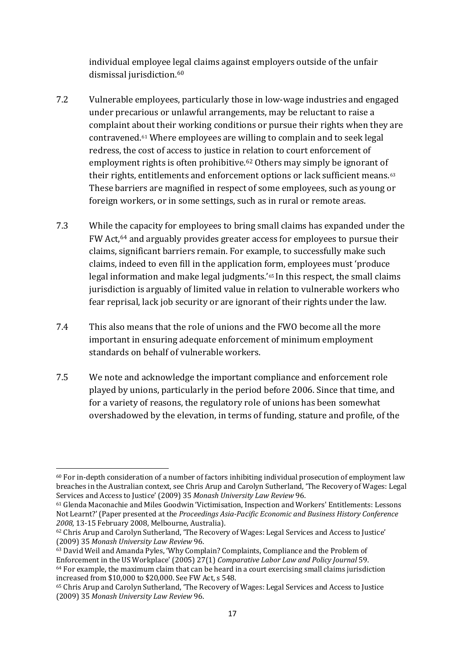individual employee legal claims against employers outside of the unfair dismissal jurisdiction.<sup>[60](#page-17-0)</sup>

- 7.2 Vulnerable employees, particularly those in low-wage industries and engaged under precarious or unlawful arrangements, may be reluctant to raise a complaint about their working conditions or pursue their rights when they are contravened.[61](#page-18-0) Where employees are willing to complain and to seek legal redress, the cost of access to justice in relation to court enforcement of employment rights is often prohibitive.<sup>[62](#page-18-1)</sup> Others may simply be ignorant of their rights, entitlements and enforcement options or lack sufficient means. $63$ These barriers are magnified in respect of some employees, such as young or foreign workers, or in some settings, such as in rural or remote areas.
- 7.3 While the capacity for employees to bring small claims has expanded under the FW Act,[64](#page-18-3) and arguably provides greater access for employees to pursue their claims, significant barriers remain. For example, to successfully make such claims, indeed to even fill in the application form, employees must 'produce legal information and make legal judgments.'[65](#page-18-4) In this respect, the small claims jurisdiction is arguably of limited value in relation to vulnerable workers who fear reprisal, lack job security or are ignorant of their rights under the law.
- 7.4 This also means that the role of unions and the FWO become all the more important in ensuring adequate enforcement of minimum employment standards on behalf of vulnerable workers.
- 7.5 We note and acknowledge the important compliance and enforcement role played by unions, particularly in the period before 2006. Since that time, and for a variety of reasons, the regulatory role of unions has been somewhat overshadowed by the elevation, in terms of funding, stature and profile, of the

<span id="page-18-5"></span>**<sup>.</sup>**  $60$  For in-depth consideration of a number of factors inhibiting individual prosecution of employment law breaches in the Australian context, see Chris Arup and Carolyn Sutherland, 'The Recovery of Wages: Legal Services and Access to Justice' (2009) 35 *Monash University Law Review* 96.

<span id="page-18-0"></span><sup>61</sup> Glenda Maconachie and Miles Goodwin 'Victimisation, Inspection and Workers' Entitlements: Lessons Not Learnt?' (Paper presented at the *Proceedings Asia-Pacific Economic and Business History Conference 2008*, 13-15 February 2008, Melbourne, Australia).

<span id="page-18-1"></span><sup>62</sup> Chris Arup and Carolyn Sutherland, 'The Recovery of Wages: Legal Services and Access to Justice' (2009) 35 *Monash University Law Review* 96.

<span id="page-18-2"></span><sup>&</sup>lt;sup>63</sup> David Weil and Amanda Pyles, 'Why Complain? Complaints, Compliance and the Problem of Enforcement in the US Workplace' (2005) 27(1) *Comparative Labor Law and Policy Journal* 59.  $64$  For example, the maximum claim that can be heard in a court exercising small claims jurisdiction increased from \$10,000 to \$20,000. See FW Act, s 548.

<span id="page-18-4"></span><span id="page-18-3"></span><sup>65</sup> Chris Arup and Carolyn Sutherland, 'The Recovery of Wages: Legal Services and Access to Justice (2009) 35 *Monash University Law Review* 96.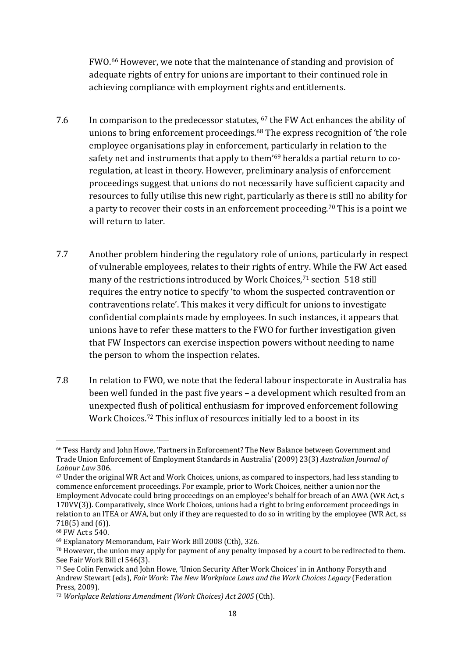FWO.[66](#page-18-5) However, we note that the maintenance of standing and provision of adequate rights of entry for unions are important to their continued role in achieving compliance with employment rights and entitlements.

- 7.6 In comparison to the predecessor statutes, [67](#page-19-0) the FW Act enhances the ability of unions to bring enforcement proceedings.<sup>[68](#page-19-1)</sup> The express recognition of 'the role employee organisations play in enforcement, particularly in relation to the safety net and instruments that apply to them'<sup>[69](#page-19-2)</sup> heralds a partial return to coregulation, at least in theory. However, preliminary analysis of enforcement proceedings suggest that unions do not necessarily have sufficient capacity and resources to fully utilise this new right, particularly as there is still no ability for a party to recover their costs in an enforcement proceeding.<sup>[70](#page-19-3)</sup> This is a point we will return to later.
- 7.7 Another problem hindering the regulatory role of unions, particularly in respect of vulnerable employees, relates to their rights of entry. While the FW Act eased many of the restrictions introduced by Work Choices,<sup>[71](#page-19-4)</sup> section 518 still requires the entry notice to specify 'to whom the suspected contravention or contraventions relate'. This makes it very difficult for unions to investigate confidential complaints made by employees. In such instances, it appears that unions have to refer these matters to the FWO for further investigation given that FW Inspectors can exercise inspection powers without needing to name the person to whom the inspection relates.
- 7.8 In relation to FWO, we note that the federal labour inspectorate in Australia has been well funded in the past five years – a development which resulted from an unexpected flush of political enthusiasm for improved enforcement following Work Choices.[72](#page-19-5) This influx of resources initially led to a boost in its

<sup>1</sup> <sup>66</sup> Tess Hardy and John Howe, 'Partners in Enforcement? The New Balance between Government and Trade Union Enforcement of Employment Standards in Australia' (2009) 23(3) *Australian Journal of Labour Law* 306.

<span id="page-19-6"></span><span id="page-19-0"></span><sup>67</sup> Under the original WR Act and Work Choices, unions, as compared to inspectors, had less standing to commence enforcement proceedings. For example, prior to Work Choices, neither a union nor the Employment Advocate could bring proceedings on an employee's behalf for breach of an AWA (WR Act, s 170VV(3)). Comparatively, since Work Choices, unions had a right to bring enforcement proceedings in relation to an ITEA or AWA, but only if they are requested to do so in writing by the employee (WR Act, ss 718(5) and (6)).

<span id="page-19-1"></span><sup>68</sup> FW Act s 540.

<span id="page-19-2"></span><sup>69</sup> Explanatory Memorandum, Fair Work Bill 2008 (Cth), 326.

<span id="page-19-3"></span><sup>70</sup> However, the union may apply for payment of any penalty imposed by a court to be redirected to them. See Fair Work Bill cl 546(3).

<span id="page-19-4"></span><sup>71</sup> See Colin Fenwick and John Howe, 'Union Security After Work Choices' in in Anthony Forsyth and Andrew Stewart (eds), *Fair Work: The New Workplace Laws and the Work Choices Legacy* (Federation Press, 2009).

<span id="page-19-5"></span><sup>72</sup> *Workplace Relations Amendment (Work Choices) Act 2005* (Cth).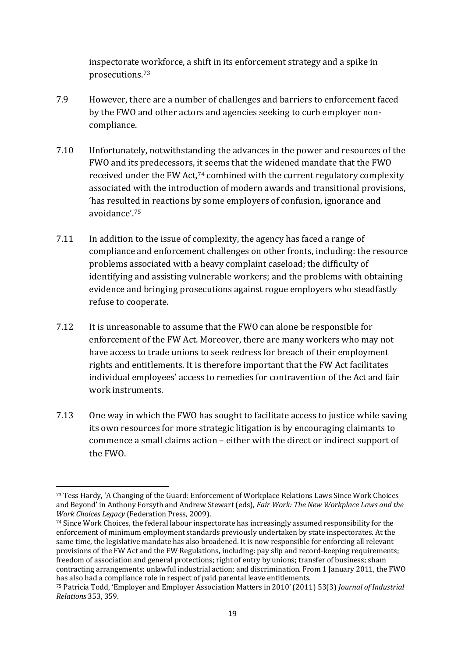inspectorate workforce, a shift in its enforcement strategy and a spike in prosecutions.[73](#page-19-6)

- 7.9 However, there are a number of challenges and barriers to enforcement faced by the FWO and other actors and agencies seeking to curb employer noncompliance.
- 7.10 Unfortunately, notwithstanding the advances in the power and resources of the FWO and its predecessors, [it](#page-20-0) seems that the widened mandate that the FWO received under the FW Act, <sup>74</sup> combined with the current regulatory complexity associated with the introduction of modern awards and transitional provisions, 'has resulted in reactions by some employers of confusion, ignorance and avoidance'.[75](#page-20-1)
- 7.11 In addition to the issue of complexity, the agency has faced a range of compliance and enforcement challenges on other fronts, including: the resource problems associated with a heavy complaint caseload; the difficulty of identifying and assisting vulnerable workers; and the problems with obtaining evidence and bringing prosecutions against rogue employers who steadfastly refuse to cooperate.
- 7.12 It is unreasonable to assume that the FWO can alone be responsible for enforcement of the FW Act. Moreover, there are many workers who may not have access to trade unions to seek redress for breach of their employment rights and entitlements. It is therefore important that the FW Act facilitates individual employees' access to remedies for contravention of the Act and fair work instruments.
- 7.13 One way in which the FWO has sought to facilitate access to justice while saving its own resources for more strategic litigation is by encouraging claimants to commence a small claims action – either with the direct or indirect support of the FWO.

**.** 

<span id="page-20-0"></span><sup>74</sup> Since Work Choices, the federal labour inspectorate has increasingly assumed responsibility for the enforcement of minimum employment standards previously undertaken by state inspectorates. At the same time, the legislative mandate has also broadened. It is now responsible for enforcing all relevant provisions of the FW Act and the FW Regulations, including: pay slip and record-keeping requirements; freedom of association and general protections; right of entry by unions; transfer of business; sham contracting arrangements; unlawful industrial action; and discrimination. From 1 January 2011, the FWO has also had a compliance role in respect of paid parental leave entitlements.

<sup>73</sup> Tess Hardy, 'A Changing of the Guard: Enforcement of Workplace Relations Laws Since Work Choices and Beyond' in Anthony Forsyth and Andrew Stewart (eds), *Fair Work: The New Workplace Laws and the Work Choices Legacy* (Federation Press, 2009).

<span id="page-20-2"></span><span id="page-20-1"></span><sup>75</sup> Patricia Todd, 'Employer and Employer Association Matters in 2010' (2011) 53(3) *Journal of Industrial Relations* 353, 359.